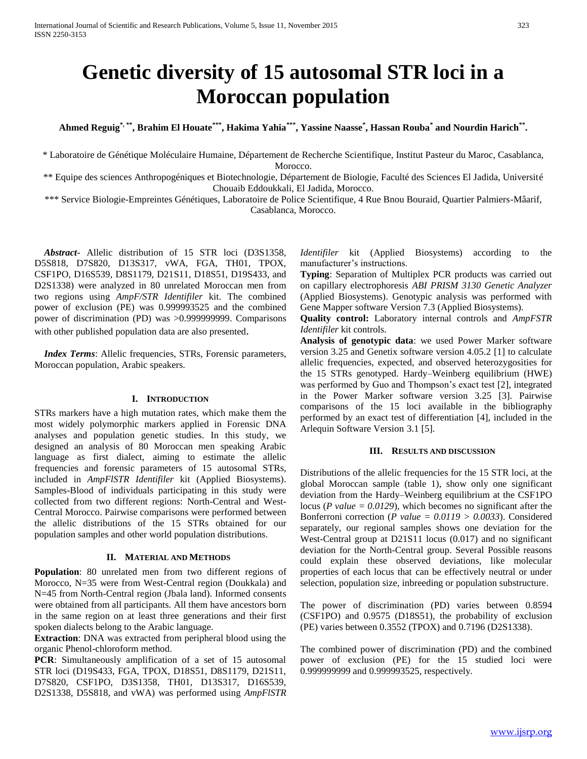# **Genetic diversity of 15 autosomal STR loci in a Moroccan population**

**Ahmed Reguig\*, \*\*, Brahim El Houate\*\*\*, Hakima Yahia\*\*\* , Yassine Naasse\* , Hassan Rouba\* and Nourdin Harich\*\* .**

\* Laboratoire de Génétique Moléculaire Humaine, Département de Recherche Scientifique, Institut Pasteur du Maroc, Casablanca, Morocco.

\*\* Equipe des sciences Anthropogéniques et Biotechnologie, Département de Biologie, Faculté des Sciences El Jadida, Université Chouaib Eddoukkali, El Jadida, Morocco.

\*\*\* Service Biologie-Empreintes Génétiques, Laboratoire de Police Scientifique, 4 Rue Bnou Bouraid, Quartier Palmiers-Mâarif, Casablanca, Morocco.

 *Abstract***-** Allelic distribution of 15 STR loci (D3S1358, D5S818, D7S820, D13S317, vWA, FGA, TH01, TPOX, CSF1PO, D16S539, D8S1179, D21S11, D18S51, D19S433, and D2S1338) were analyzed in 80 unrelated Moroccan men from two regions using *AmpF/STR Identifiler* kit. The combined power of exclusion (PE) was 0.999993525 and the combined power of discrimination (PD) was >0.999999999. Comparisons with other published population data are also presented.

 *Index Terms*: Allelic frequencies, STRs, Forensic parameters, Moroccan population, Arabic speakers.

## **I. INTRODUCTION**

STRs markers have a high mutation rates, which make them the most widely polymorphic markers applied in Forensic DNA analyses and population genetic studies. In this study, we designed an analysis of 80 Moroccan men speaking Arabic language as first dialect, aiming to estimate the allelic frequencies and forensic parameters of 15 autosomal STRs, included in *AmpFlSTR Identifiler* kit (Applied Biosystems). Samples-Blood of individuals participating in this study were collected from two different regions: North-Central and West-Central Morocco. Pairwise comparisons were performed between the allelic distributions of the 15 STRs obtained for our population samples and other world population distributions.

#### **II. MATERIAL AND METHODS**

**Population**: 80 unrelated men from two different regions of Morocco, N=35 were from West-Central region (Doukkala) and N=45 from North-Central region (Jbala land). Informed consents were obtained from all participants. All them have ancestors born in the same region on at least three generations and their first spoken dialects belong to the Arabic language.

**Extraction**: DNA was extracted from peripheral blood using the organic Phenol-chloroform method.

**PCR**: Simultaneously amplification of a set of 15 autosomal STR loci (D19S433, FGA, TPOX, D18S51, D8S1179, D21S11, D7S820, CSF1PO, D3S1358, TH01, D13S317, D16S539, D2S1338, D5S818, and vWA) was performed using *AmpFlSTR*  *Identifiler* kit (Applied Biosystems) according to the manufacturer's instructions.

**Typing**: Separation of Multiplex PCR products was carried out on capillary electrophoresis *ABI PRISM 3130 Genetic Analyzer* (Applied Biosystems). Genotypic analysis was performed with Gene Mapper software Version 7.3 (Applied Biosystems).

**Quality control:** Laboratory internal controls and *AmpFSTR Identifiler* kit controls.

**Analysis of genotypic data**: we used Power Marker software version 3.25 and Genetix software version 4.05.2 [1] to calculate allelic frequencies, expected, and observed heterozygosities for the 15 STRs genotyped. Hardy–Weinberg equilibrium (HWE) was performed by Guo and Thompson's exact test [2], integrated in the Power Marker software version 3.25 [3]. Pairwise comparisons of the 15 loci available in the bibliography performed by an exact test of differentiation [4], included in the Arlequin Software Version 3.1 [5].

## **III. RESULTS AND DISCUSSION**

Distributions of the allelic frequencies for the 15 STR loci, at the global Moroccan sample (table 1), show only one significant deviation from the Hardy–Weinberg equilibrium at the CSF1PO locus (*P value = 0.0129*), which becomes no significant after the Bonferroni correction (*P value = 0.0119 > 0.0033*). Considered separately, our regional samples shows one deviation for the West-Central group at D21S11 locus (0.017) and no significant deviation for the North-Central group. Several Possible reasons could explain these observed deviations, like molecular properties of each locus that can be effectively neutral or under selection, population size, inbreeding or population substructure.

The power of discrimination (PD) varies between 0.8594 (CSF1PO) and 0.9575 (D18S51), the probability of exclusion (PE) varies between 0.3552 (TPOX) and 0.7196 (D2S1338).

The combined power of discrimination (PD) and the combined power of exclusion (PE) for the 15 studied loci were 0.999999999 and 0.999993525, respectively.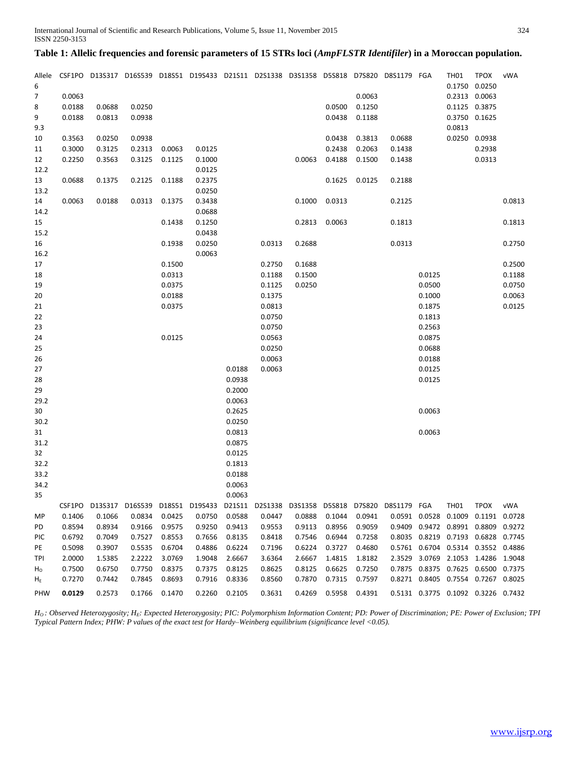# **Table 1: Allelic frequencies and forensic parameters of 15 STRs loci (***AmpFLSTR Identifiler***) in a Moroccan population.**

| Allele<br>6    |                  |                  |                  |                  | CSF1PO D13S317 D16S539 D18S51 D19S433 D21S11 D2S1338 D3S1358 D5S818 D7S820 D8S1179 FGA    |                  |                  |                  |                  |                  |        |               | <b>TH01</b> | <b>TPOX</b><br>0.1750 0.0250                                                     | vWA    |
|----------------|------------------|------------------|------------------|------------------|-------------------------------------------------------------------------------------------|------------------|------------------|------------------|------------------|------------------|--------|---------------|-------------|----------------------------------------------------------------------------------|--------|
| $\overline{7}$ | 0.0063           |                  |                  |                  |                                                                                           |                  |                  |                  |                  | 0.0063           |        |               |             | 0.2313 0.0063                                                                    |        |
| 8              | 0.0188           | 0.0688           | 0.0250           |                  |                                                                                           |                  |                  |                  | 0.0500           | 0.1250           |        |               |             | 0.1125 0.3875                                                                    |        |
| 9              | 0.0188           | 0.0813           | 0.0938           |                  |                                                                                           |                  |                  |                  | 0.0438           | 0.1188           |        |               |             | 0.3750 0.1625                                                                    |        |
| 9.3            |                  |                  |                  |                  |                                                                                           |                  |                  |                  |                  |                  |        |               | 0.0813      |                                                                                  |        |
| 10             | 0.3563           | 0.0250           | 0.0938           |                  |                                                                                           |                  |                  |                  | 0.0438           | 0.3813           | 0.0688 |               |             | 0.0250 0.0938                                                                    |        |
| 11             | 0.3000           | 0.3125           | 0.2313           | 0.0063           | 0.0125                                                                                    |                  |                  |                  | 0.2438           | 0.2063           | 0.1438 |               |             | 0.2938                                                                           |        |
| 12             | 0.2250           | 0.3563           | 0.3125           | 0.1125           | 0.1000                                                                                    |                  |                  | 0.0063           | 0.4188           | 0.1500           | 0.1438 |               |             | 0.0313                                                                           |        |
| 12.2           |                  |                  |                  |                  | 0.0125                                                                                    |                  |                  |                  |                  |                  |        |               |             |                                                                                  |        |
| 13             | 0.0688           | 0.1375           | 0.2125           | 0.1188           | 0.2375                                                                                    |                  |                  |                  | 0.1625           | 0.0125           | 0.2188 |               |             |                                                                                  |        |
| 13.2           |                  |                  |                  |                  | 0.0250                                                                                    |                  |                  |                  |                  |                  |        |               |             |                                                                                  |        |
| 14             | 0.0063           | 0.0188           | 0.0313           | 0.1375           | 0.3438                                                                                    |                  |                  | 0.1000           | 0.0313           |                  | 0.2125 |               |             |                                                                                  | 0.0813 |
| 14.2           |                  |                  |                  |                  | 0.0688                                                                                    |                  |                  |                  |                  |                  |        |               |             |                                                                                  |        |
| 15             |                  |                  |                  | 0.1438           | 0.1250                                                                                    |                  |                  |                  | 0.2813 0.0063    |                  | 0.1813 |               |             |                                                                                  | 0.1813 |
| 15.2           |                  |                  |                  |                  | 0.0438                                                                                    |                  |                  |                  |                  |                  |        |               |             |                                                                                  |        |
| 16             |                  |                  |                  | 0.1938           | 0.0250                                                                                    |                  | 0.0313           | 0.2688           |                  |                  | 0.0313 |               |             |                                                                                  | 0.2750 |
| 16.2           |                  |                  |                  |                  | 0.0063                                                                                    |                  |                  |                  |                  |                  |        |               |             |                                                                                  |        |
| 17             |                  |                  |                  | 0.1500           |                                                                                           |                  | 0.2750           | 0.1688           |                  |                  |        |               |             |                                                                                  | 0.2500 |
| 18             |                  |                  |                  | 0.0313           |                                                                                           |                  | 0.1188           | 0.1500           |                  |                  |        | 0.0125        |             |                                                                                  | 0.1188 |
| 19             |                  |                  |                  | 0.0375           |                                                                                           |                  | 0.1125           | 0.0250           |                  |                  |        | 0.0500        |             |                                                                                  | 0.0750 |
| 20             |                  |                  |                  | 0.0188           |                                                                                           |                  | 0.1375           |                  |                  |                  |        | 0.1000        |             |                                                                                  | 0.0063 |
| 21             |                  |                  |                  | 0.0375           |                                                                                           |                  | 0.0813           |                  |                  |                  |        | 0.1875        |             |                                                                                  | 0.0125 |
| 22             |                  |                  |                  |                  |                                                                                           |                  | 0.0750           |                  |                  |                  |        | 0.1813        |             |                                                                                  |        |
| 23             |                  |                  |                  |                  |                                                                                           |                  | 0.0750           |                  |                  |                  |        | 0.2563        |             |                                                                                  |        |
| 24             |                  |                  |                  | 0.0125           |                                                                                           |                  | 0.0563           |                  |                  |                  |        | 0.0875        |             |                                                                                  |        |
| 25             |                  |                  |                  |                  |                                                                                           |                  | 0.0250           |                  |                  |                  |        | 0.0688        |             |                                                                                  |        |
| 26             |                  |                  |                  |                  |                                                                                           |                  | 0.0063           |                  |                  |                  |        | 0.0188        |             |                                                                                  |        |
| 27             |                  |                  |                  |                  |                                                                                           | 0.0188           | 0.0063           |                  |                  |                  |        | 0.0125        |             |                                                                                  |        |
| 28             |                  |                  |                  |                  |                                                                                           | 0.0938           |                  |                  |                  |                  |        | 0.0125        |             |                                                                                  |        |
| 29             |                  |                  |                  |                  |                                                                                           | 0.2000           |                  |                  |                  |                  |        |               |             |                                                                                  |        |
| 29.2           |                  |                  |                  |                  |                                                                                           | 0.0063           |                  |                  |                  |                  |        |               |             |                                                                                  |        |
| 30             |                  |                  |                  |                  |                                                                                           | 0.2625           |                  |                  |                  |                  |        | 0.0063        |             |                                                                                  |        |
| 30.2           |                  |                  |                  |                  |                                                                                           | 0.0250           |                  |                  |                  |                  |        |               |             |                                                                                  |        |
| 31             |                  |                  |                  |                  |                                                                                           | 0.0813           |                  |                  |                  |                  |        | 0.0063        |             |                                                                                  |        |
| 31.2           |                  |                  |                  |                  |                                                                                           | 0.0875           |                  |                  |                  |                  |        |               |             |                                                                                  |        |
| 32             |                  |                  |                  |                  |                                                                                           | 0.0125           |                  |                  |                  |                  |        |               |             |                                                                                  |        |
| 32.2           |                  |                  |                  |                  |                                                                                           | 0.1813           |                  |                  |                  |                  |        |               |             |                                                                                  |        |
| 33.2           |                  |                  |                  |                  |                                                                                           | 0.0188<br>0.0063 |                  |                  |                  |                  |        |               |             |                                                                                  |        |
| 34.2<br>35     |                  |                  |                  |                  |                                                                                           | 0.0063           |                  |                  |                  |                  |        |               |             |                                                                                  |        |
|                |                  |                  |                  |                  |                                                                                           |                  |                  |                  |                  |                  |        |               |             |                                                                                  |        |
|                | CSF1PO           |                  |                  |                  | D13S317 D16S539 D18S51 D19S433 D21S11 D2S1338 D3S1358 D5S818 D7S820 D8S1179 FGA<br>0.0750 |                  |                  |                  |                  |                  |        |               | <b>TH01</b> | <b>TPOX</b>                                                                      | vWA    |
| MP             | 0.1406           | 0.1066           | 0.0834           | 0.0425           |                                                                                           | 0.0588           | 0.0447           | 0.0888           | 0.1044           | 0.0941           |        | 0.0591 0.0528 | 0.1009      | 0.1191 0.0728                                                                    |        |
| PD             | 0.8594<br>0.6792 | 0.8934<br>0.7049 | 0.9166<br>0.7527 | 0.9575<br>0.8553 | 0.9250<br>0.7656                                                                          | 0.9413<br>0.8135 | 0.9553<br>0.8418 | 0.9113<br>0.7546 | 0.8956<br>0.6944 | 0.9059<br>0.7258 |        |               |             | 0.9409  0.9472  0.8991  0.8809  0.9272<br>0.8035  0.8219  0.7193  0.6828  0.7745 |        |
| PIC            |                  |                  |                  |                  |                                                                                           |                  |                  |                  |                  |                  |        |               |             |                                                                                  |        |
| PE             | 0.5098           | 0.3907           | 0.5535           | 0.6704<br>3.0769 | 0.4886                                                                                    | 0.6224           | 0.7196           | 0.6224           | 0.3727<br>1.4815 | 0.4680           |        |               |             | 0.5761  0.6704  0.5314  0.3552  0.4886                                           |        |
| TPI            | 2.0000           | 1.5385<br>0.6750 | 2.2222           |                  | 1.9048                                                                                    | 2.6667           | 3.6364           | 2.6667           |                  | 1.8182           |        |               |             | 2.3529 3.0769 2.1053 1.4286 1.9048<br>0.7875 0.8375 0.7625 0.6500 0.7375         |        |
| $H_0$          | 0.7500<br>0.7270 |                  | 0.7750<br>0.7845 | 0.8375           | 0.7375                                                                                    | 0.8125           | 0.8625           | 0.8125           | 0.6625           | 0.7250           |        |               |             | 0.8271  0.8405  0.7554  0.7267  0.8025                                           |        |
| $H_E$<br>PHW   | 0.0129           | 0.7442<br>0.2573 | 0.1766           | 0.8693<br>0.1470 | 0.7916<br>0.2260                                                                          | 0.8336<br>0.2105 | 0.8560<br>0.3631 | 0.7870<br>0.4269 | 0.7315<br>0.5958 | 0.7597<br>0.4391 |        |               |             | 0.5131  0.3775  0.1092  0.3226  0.7432                                           |        |
|                |                  |                  |                  |                  |                                                                                           |                  |                  |                  |                  |                  |        |               |             |                                                                                  |        |

*HO : Observed Heterozygosity; HE: Expected Heterozygosity; PIC: Polymorphism Information Content; PD: Power of Discrimination; PE: Power of Exclusion; TPI Typical Pattern Index; PHW: P values of the exact test for Hardy–Weinberg equilibrium (significance level <0.05).*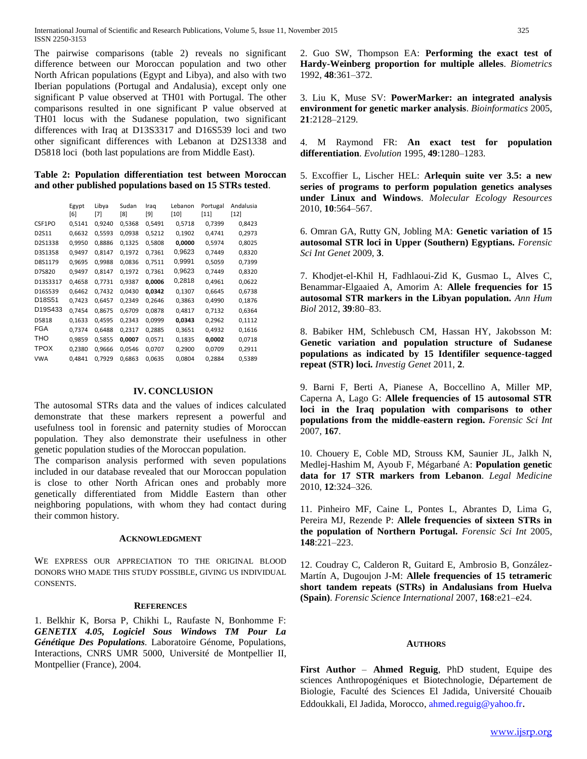The pairwise comparisons (table 2) reveals no significant difference between our Moroccan population and two other North African populations (Egypt and Libya), and also with two Iberian populations (Portugal and Andalusia), except only one significant P value observed at TH01 with Portugal. The other comparisons resulted in one significant P value observed at TH01 locus with the Sudanese population, two significant differences with Iraq at D13S3317 and D16S539 loci and two other significant differences with Lebanon at D2S1338 and D5818 loci (both last populations are from Middle East).

# **Table 2: Population differentiation test between Moroccan and other published populations based on 15 STRs tested**.

|                                 | Egypt<br>[6] | Libya<br>[7] | Sudan<br>[8] | Iraq<br>[9] | Lebanon<br>[10] | Portugal<br>[11] | Andalusia<br>[12] |
|---------------------------------|--------------|--------------|--------------|-------------|-----------------|------------------|-------------------|
| CSF1PO                          | 0,5141       | 0,9240       | 0,5368       | 0,5491      | 0,5718          | 0,7399           | 0,8423            |
| D2S11                           | 0,6632       | 0,5593       | 0,0938       | 0,5212      | 0,1902          | 0,4741           | 0,2973            |
| D2S1338                         | 0,9950       | 0,8886       | 0,1325       | 0,5808      | 0,0000          | 0,5974           | 0,8025            |
| D3S1358                         | 0,9497       | 0,8147       | 0,1972       | 0.7361      | 0,9623          | 0.7449           | 0,8320            |
| D8S1179                         | 0,9695       | 0,9988       | 0,0836       | 0,7511      | 0,9991          | 0,5059           | 0,7399            |
| D7S820                          | 0,9497       | 0,8147       | 0,1972       | 0,7361      | 0,9623          | 0,7449           | 0,8320            |
| D13S3317                        | 0,4658       | 0,7731       | 0,9387       | 0,0006      | 0,2818          | 0,4961           | 0,0622            |
| D16S539                         | 0,6462       | 0,7432       | 0,0430       | 0,0342      | 0,1307          | 0,6645           | 0,6738            |
| D <sub>18</sub> S <sub>51</sub> | 0,7423       | 0,6457       | 0,2349       | 0,2646      | 0,3863          | 0,4990           | 0,1876            |
| D19S433                         | 0,7454       | 0,8675       | 0,6709       | 0,0878      | 0,4817          | 0,7132           | 0,6364            |
| D5818                           | 0,1633       | 0,4595       | 0,2343       | 0,0999      | 0,0343          | 0,2962           | 0,1112            |
| <b>FGA</b>                      | 0,7374       | 0,6488       | 0,2317       | 0,2885      | 0,3651          | 0,4932           | 0,1616            |
| THO                             | 0,9859       | 0,5855       | 0,0007       | 0,0571      | 0,1835          | 0,0002           | 0,0718            |
| <b>TPOX</b>                     | 0,2380       | 0,9666       | 0,0546       | 0,0707      | 0,2900          | 0,0709           | 0,2911            |
| <b>VWA</b>                      | 0,4841       | 0,7929       | 0,6863       | 0,0635      | 0,0804          | 0,2884           | 0,5389            |

## **IV. CONCLUSION**

The autosomal STRs data and the values of indices calculated demonstrate that these markers represent a powerful and usefulness tool in forensic and paternity studies of Moroccan population. They also demonstrate their usefulness in other genetic population studies of the Moroccan population.

The comparison analysis performed with seven populations included in our database revealed that our Moroccan population is close to other North African ones and probably more genetically differentiated from Middle Eastern than other neighboring populations, with whom they had contact during their common history.

## **ACKNOWLEDGMENT**

WE EXPRESS OUR APPRECIATION TO THE ORIGINAL BLOOD DONORS WHO MADE THIS STUDY POSSIBLE, GIVING US INDIVIDUAL CONSENTS.

## **REFERENCES**

1. Belkhir K, Borsa P, Chikhi L, Raufaste N, Bonhomme F: *GENETIX 4.05, Logiciel Sous Windows TM Pour La Génétique Des Populations.* Laboratoire Génome, Populations, Interactions, CNRS UMR 5000, Université de Montpellier II, Montpellier (France), 2004.

2. Guo SW, Thompson EA: **Performing the exact test of Hardy-Weinberg proportion for multiple alleles**. *Biometrics* 1992, **48**:361–372.

3. Liu K, Muse SV: **PowerMarker: an integrated analysis environment for genetic marker analysis**. *Bioinformatics* 2005, **21**:2128–2129.

4. M Raymond FR: **An exact test for population differentiation**. *Evolution* 1995, **49**:1280–1283.

5. Excoffier L, Lischer HEL: **Arlequin suite ver 3.5: a new series of programs to perform population genetics analyses under Linux and Windows**. *Molecular Ecology Resources* 2010, **10**:564–567.

6. Omran GA, Rutty GN, Jobling MA: **Genetic variation of 15 autosomal STR loci in Upper (Southern) Egyptians.** *Forensic Sci Int Genet* 2009, **3**.

7. Khodjet-el-Khil H, Fadhlaoui-Zid K, Gusmao L, Alves C, Benammar-Elgaaied A, Amorim A: **Allele frequencies for 15 autosomal STR markers in the Libyan population.** *Ann Hum Biol* 2012, **39**:80–83.

8. Babiker HM, Schlebusch CM, Hassan HY, Jakobsson M: **Genetic variation and population structure of Sudanese populations as indicated by 15 Identifiler sequence-tagged repeat (STR) loci.** *Investig Genet* 2011, **2**.

9. Barni F, Berti A, Pianese A, Boccellino A, Miller MP, Caperna A, Lago G: **Allele frequencies of 15 autosomal STR loci in the Iraq population with comparisons to other populations from the middle-eastern region.** *Forensic Sci Int* 2007, **167**.

10. Chouery E, Coble MD, Strouss KM, Saunier JL, Jalkh N, Medlej-Hashim M, Ayoub F, Mégarbané A: **Population genetic data for 17 STR markers from Lebanon**. *Legal Medicine* 2010, **12**:324–326.

11. Pinheiro MF, Caine L, Pontes L, Abrantes D, Lima G, Pereira MJ, Rezende P: **Allele frequencies of sixteen STRs in the population of Northern Portugal.** *Forensic Sci Int* 2005, **148**:221–223.

12. Coudray C, Calderon R, Guitard E, Ambrosio B, González-Martín A, Dugoujon J-M: **Allele frequencies of 15 tetrameric short tandem repeats (STRs) in Andalusians from Huelva (Spain)**. *Forensic Science International* 2007, **168**:e21–e24.

## **AUTHORS**

**First Author** – **Ahmed Reguig**, PhD student, Equipe des sciences Anthropogéniques et Biotechnologie, Département de Biologie, Faculté des Sciences El Jadida, Université Chouaib Eddoukkali, El Jadida, Morocco, ahmed.reguig@yahoo.fr.